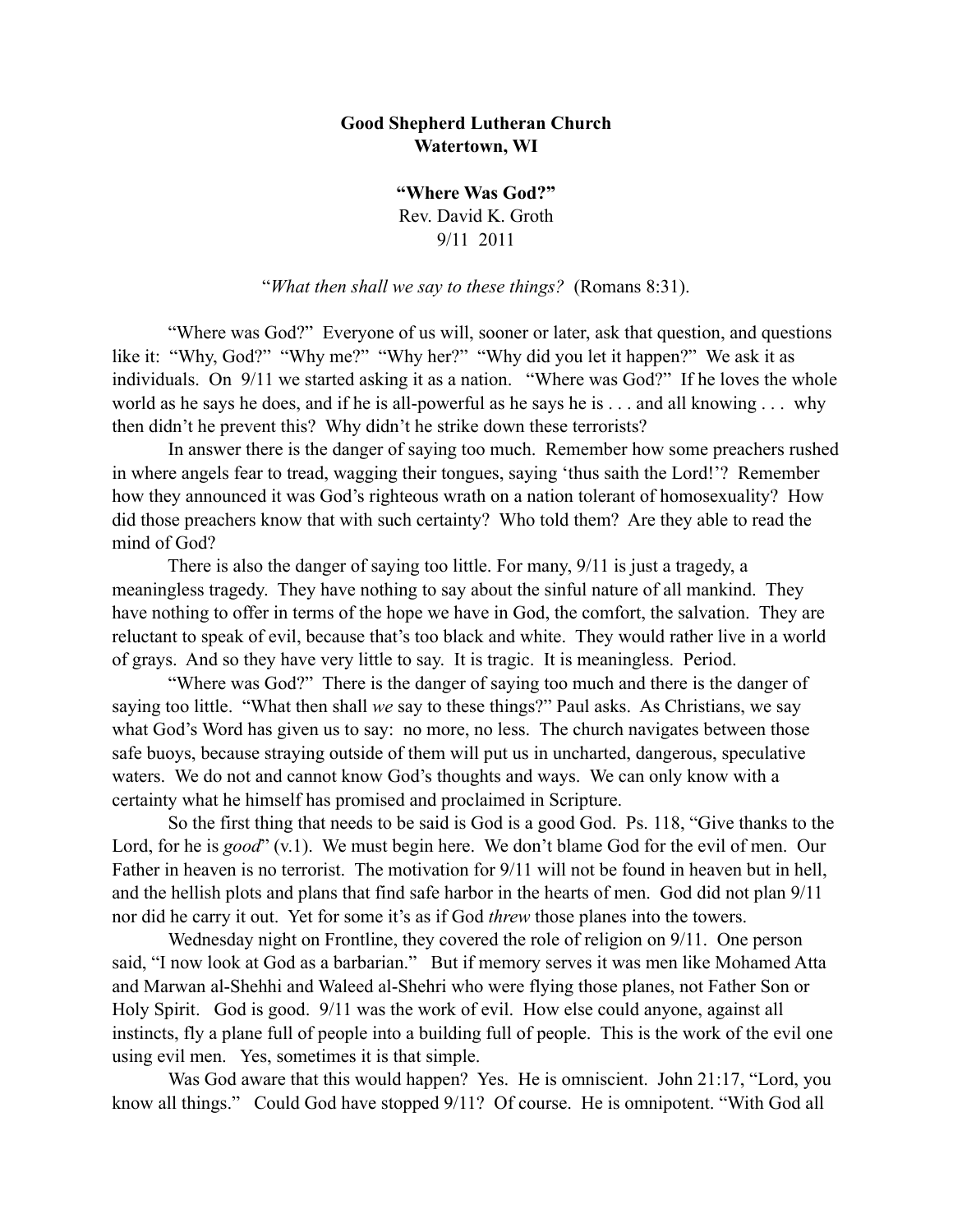## **Good Shepherd Lutheran Church Watertown, WI**

**"Where Was God?"** Rev. David K. Groth 9/11 2011

"*What then shall we say to these things?* (Romans 8:31).

 "Where was God?" Everyone of us will, sooner or later, ask that question, and questions like it: "Why, God?" "Why me?" "Why her?" "Why did you let it happen?" We ask it as individuals. On 9/11 we started asking it as a nation. "Where was God?" If he loves the whole world as he says he does, and if he is all-powerful as he says he is . . . and all knowing . . . why then didn't he prevent this? Why didn't he strike down these terrorists?

 In answer there is the danger of saying too much. Remember how some preachers rushed in where angels fear to tread, wagging their tongues, saying 'thus saith the Lord!'? Remember how they announced it was God's righteous wrath on a nation tolerant of homosexuality? How did those preachers know that with such certainty? Who told them? Are they able to read the mind of God?

 There is also the danger of saying too little. For many, 9/11 is just a tragedy, a meaningless tragedy. They have nothing to say about the sinful nature of all mankind. They have nothing to offer in terms of the hope we have in God, the comfort, the salvation. They are reluctant to speak of evil, because that's too black and white. They would rather live in a world of grays. And so they have very little to say. It is tragic. It is meaningless. Period.

 "Where was God?" There is the danger of saying too much and there is the danger of saying too little. "What then shall *we* say to these things?" Paul asks. As Christians, we say what God's Word has given us to say: no more, no less. The church navigates between those safe buoys, because straying outside of them will put us in uncharted, dangerous, speculative waters. We do not and cannot know God's thoughts and ways. We can only know with a certainty what he himself has promised and proclaimed in Scripture.

So the first thing that needs to be said is God is a good God. Ps. 118, "Give thanks to the Lord, for he is *good*" (v.1). We must begin here. We don't blame God for the evil of men. Our Father in heaven is no terrorist. The motivation for 9/11 will not be found in heaven but in hell, and the hellish plots and plans that find safe harbor in the hearts of men. God did not plan 9/11 nor did he carry it out. Yet for some it's as if God *threw* those planes into the towers.

Wednesday night on Frontline, they covered the role of religion on 9/11. One person said, "I now look at God as a barbarian." But if memory serves it was men like Mohamed Atta and Marwan al-Shehhi and Waleed al-Shehri who were flying those planes, not Father Son or Holy Spirit. God is good. 9/11 was the work of evil. How else could anyone, against all instincts, fly a plane full of people into a building full of people. This is the work of the evil one using evil men. Yes, sometimes it is that simple.

Was God aware that this would happen? Yes. He is omniscient. John 21:17, "Lord, you know all things." Could God have stopped 9/11? Of course. He is omnipotent. "With God all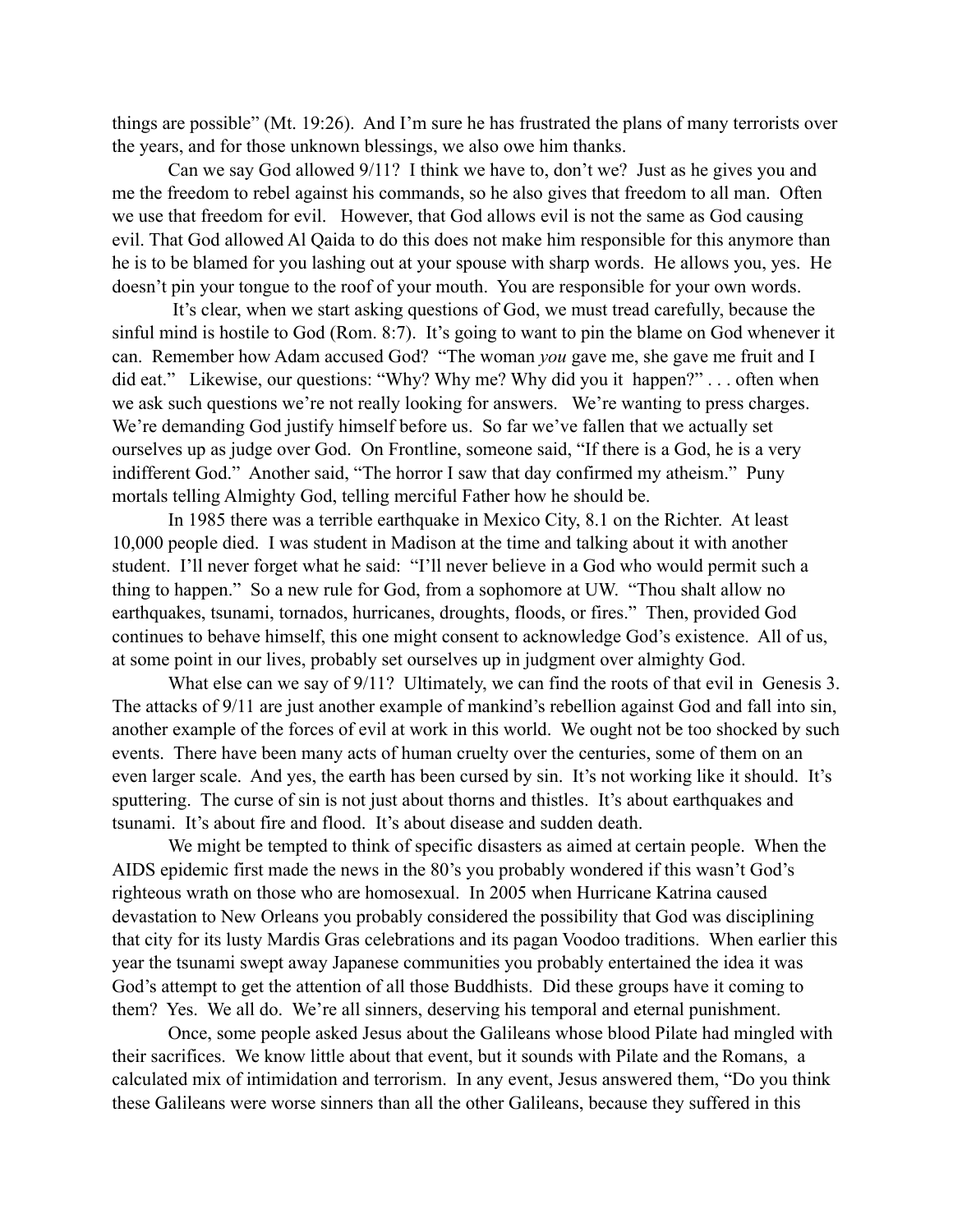things are possible" (Mt. 19:26). And I'm sure he has frustrated the plans of many terrorists over the years, and for those unknown blessings, we also owe him thanks.

Can we say God allowed 9/11? I think we have to, don't we? Just as he gives you and me the freedom to rebel against his commands, so he also gives that freedom to all man. Often we use that freedom for evil. However, that God allows evil is not the same as God causing evil. That God allowed Al Qaida to do this does not make him responsible for this anymore than he is to be blamed for you lashing out at your spouse with sharp words. He allows you, yes. He doesn't pin your tongue to the roof of your mouth. You are responsible for your own words.

 It's clear, when we start asking questions of God, we must tread carefully, because the sinful mind is hostile to God (Rom. 8:7). It's going to want to pin the blame on God whenever it can. Remember how Adam accused God? "The woman *you* gave me, she gave me fruit and I did eat." Likewise, our questions: "Why? Why me? Why did you it happen?" . . . often when we ask such questions we're not really looking for answers. We're wanting to press charges. We're demanding God justify himself before us. So far we've fallen that we actually set ourselves up as judge over God. On Frontline, someone said, "If there is a God, he is a very indifferent God." Another said, "The horror I saw that day confirmed my atheism." Puny mortals telling Almighty God, telling merciful Father how he should be.

In 1985 there was a terrible earthquake in Mexico City, 8.1 on the Richter. At least 10,000 people died. I was student in Madison at the time and talking about it with another student. I'll never forget what he said: "I'll never believe in a God who would permit such a thing to happen." So a new rule for God, from a sophomore at UW. "Thou shalt allow no earthquakes, tsunami, tornados, hurricanes, droughts, floods, or fires." Then, provided God continues to behave himself, this one might consent to acknowledge God's existence. All of us, at some point in our lives, probably set ourselves up in judgment over almighty God.

What else can we say of 9/11? Ultimately, we can find the roots of that evil in Genesis 3. The attacks of 9/11 are just another example of mankind's rebellion against God and fall into sin, another example of the forces of evil at work in this world. We ought not be too shocked by such events. There have been many acts of human cruelty over the centuries, some of them on an even larger scale. And yes, the earth has been cursed by sin. It's not working like it should. It's sputtering. The curse of sin is not just about thorns and thistles. It's about earthquakes and tsunami. It's about fire and flood. It's about disease and sudden death.

We might be tempted to think of specific disasters as aimed at certain people. When the AIDS epidemic first made the news in the 80's you probably wondered if this wasn't God's righteous wrath on those who are homosexual. In 2005 when Hurricane Katrina caused devastation to New Orleans you probably considered the possibility that God was disciplining that city for its lusty Mardis Gras celebrations and its pagan Voodoo traditions. When earlier this year the tsunami swept away Japanese communities you probably entertained the idea it was God's attempt to get the attention of all those Buddhists. Did these groups have it coming to them? Yes. We all do. We're all sinners, deserving his temporal and eternal punishment.

Once, some people asked Jesus about the Galileans whose blood Pilate had mingled with their sacrifices. We know little about that event, but it sounds with Pilate and the Romans, a calculated mix of intimidation and terrorism. In any event, Jesus answered them, "Do you think these Galileans were worse sinners than all the other Galileans, because they suffered in this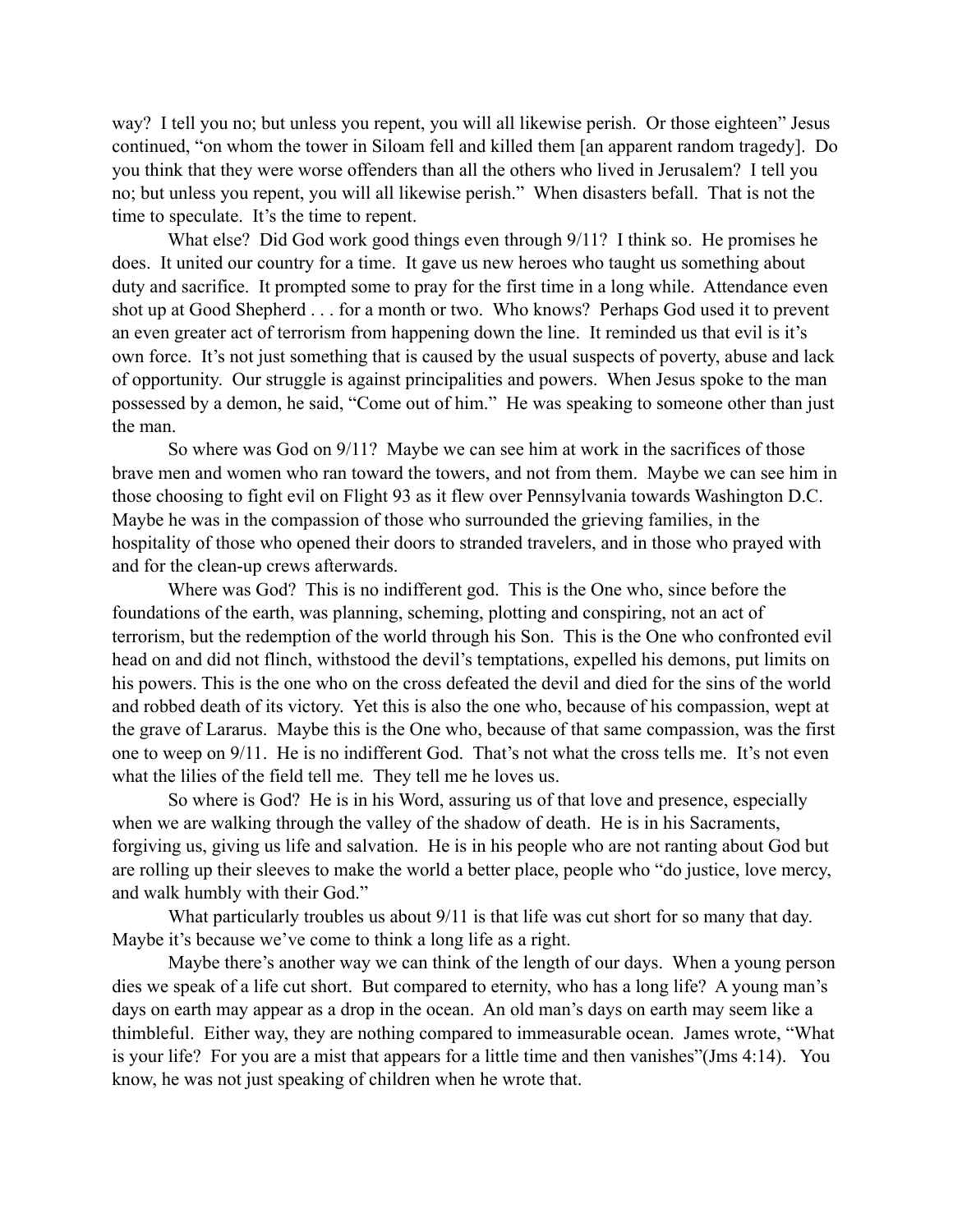way? I tell you no; but unless you repent, you will all likewise perish. Or those eighteen" Jesus continued, "on whom the tower in Siloam fell and killed them [an apparent random tragedy]. Do you think that they were worse offenders than all the others who lived in Jerusalem? I tell you no; but unless you repent, you will all likewise perish." When disasters befall. That is not the time to speculate. It's the time to repent.

What else? Did God work good things even through  $9/11$ ? I think so. He promises he does. It united our country for a time. It gave us new heroes who taught us something about duty and sacrifice. It prompted some to pray for the first time in a long while. Attendance even shot up at Good Shepherd . . . for a month or two. Who knows? Perhaps God used it to prevent an even greater act of terrorism from happening down the line. It reminded us that evil is it's own force. It's not just something that is caused by the usual suspects of poverty, abuse and lack of opportunity. Our struggle is against principalities and powers. When Jesus spoke to the man possessed by a demon, he said, "Come out of him." He was speaking to someone other than just the man.

 So where was God on 9/11? Maybe we can see him at work in the sacrifices of those brave men and women who ran toward the towers, and not from them. Maybe we can see him in those choosing to fight evil on Flight 93 as it flew over Pennsylvania towards Washington D.C. Maybe he was in the compassion of those who surrounded the grieving families, in the hospitality of those who opened their doors to stranded travelers, and in those who prayed with and for the clean-up crews afterwards.

 Where was God? This is no indifferent god. This is the One who, since before the foundations of the earth, was planning, scheming, plotting and conspiring, not an act of terrorism, but the redemption of the world through his Son. This is the One who confronted evil head on and did not flinch, withstood the devil's temptations, expelled his demons, put limits on his powers. This is the one who on the cross defeated the devil and died for the sins of the world and robbed death of its victory. Yet this is also the one who, because of his compassion, wept at the grave of Lararus. Maybe this is the One who, because of that same compassion, was the first one to weep on 9/11. He is no indifferent God. That's not what the cross tells me. It's not even what the lilies of the field tell me. They tell me he loves us.

So where is God? He is in his Word, assuring us of that love and presence, especially when we are walking through the valley of the shadow of death. He is in his Sacraments, forgiving us, giving us life and salvation. He is in his people who are not ranting about God but are rolling up their sleeves to make the world a better place, people who "do justice, love mercy, and walk humbly with their God."

What particularly troubles us about 9/11 is that life was cut short for so many that day. Maybe it's because we've come to think a long life as a right.

Maybe there's another way we can think of the length of our days. When a young person dies we speak of a life cut short. But compared to eternity, who has a long life? A young man's days on earth may appear as a drop in the ocean. An old man's days on earth may seem like a thimbleful. Either way, they are nothing compared to immeasurable ocean. James wrote, "What is your life? For you are a mist that appears for a little time and then vanishes"(Jms 4:14). You know, he was not just speaking of children when he wrote that.